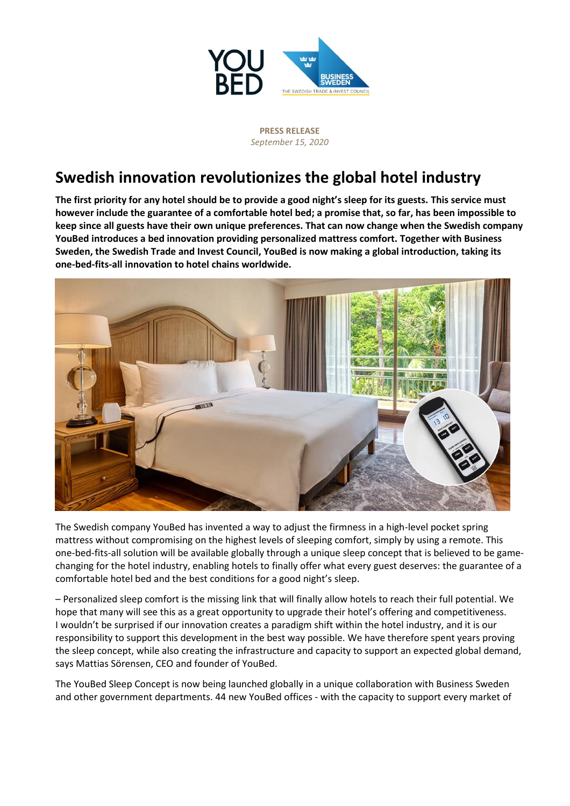

**PRESS RELEASE**  *September 15, 2020*

# **Swedish innovation revolutionizes the global hotel industry**

**The first priority for any hotel should be to provide a good night's sleep for its guests. This service must however include the guarantee of a comfortable hotel bed; a promise that, so far, has been impossible to keep since all guests have their own unique preferences. That can now change when the Swedish company YouBed introduces a bed innovation providing personalized mattress comfort. Together with Business Sweden, the Swedish Trade and Invest Council, YouBed is now making a global introduction, taking its one-bed-fits-all innovation to hotel chains worldwide.**



The Swedish company YouBed has invented a way to adjust the firmness in a high-level pocket spring mattress without compromising on the highest levels of sleeping comfort, simply by using a remote. This one-bed-fits-all solution will be available globally through a unique sleep concept that is believed to be gamechanging for the hotel industry, enabling hotels to finally offer what every guest deserves: the guarantee of a comfortable hotel bed and the best conditions for a good night's sleep.

– Personalized sleep comfort is the missing link that will finally allow hotels to reach their full potential. We hope that many will see this as a great opportunity to upgrade their hotel's offering and competitiveness. I wouldn't be surprised if our innovation creates a paradigm shift within the hotel industry, and it is our responsibility to support this development in the best way possible. We have therefore spent years proving the sleep concept, while also creating the infrastructure and capacity to support an expected global demand, says Mattias Sörensen, CEO and founder of YouBed.

The YouBed Sleep Concept is now being launched globally in a unique collaboration with Business Sweden and other government departments. 44 new YouBed offices - with the capacity to support every market of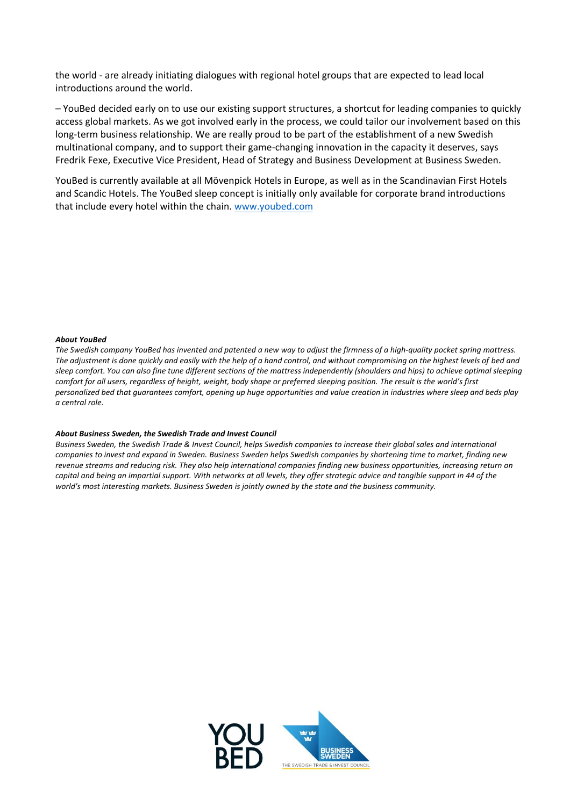the world - are already initiating dialogues with regional hotel groups that are expected to lead local introductions around the world.

– YouBed decided early on to use our existing support structures, a shortcut for leading companies to quickly access global markets. As we got involved early in the process, we could tailor our involvement based on this long-term business relationship. We are really proud to be part of the establishment of a new Swedish multinational company, and to support their game-changing innovation in the capacity it deserves, says Fredrik Fexe, Executive Vice President, Head of Strategy and Business Development at Business Sweden.

YouBed is currently available at all Mövenpick Hotels in Europe, as well as in the Scandinavian First Hotels and Scandic Hotels. The YouBed sleep concept is initially only available for corporate brand introductions that include every hotel within the chain[. www.youbed.com](http://www.youbed.com/)

## *About YouBed*

*The Swedish company YouBed has invented and patented a new way to adjust the firmness of a high-quality pocket spring mattress. The adjustment is done quickly and easily with the help of a hand control, and without compromising on the highest levels of bed and sleep comfort. You can also fine tune different sections of the mattress independently (shoulders and hips) to achieve optimal sleeping comfort for all users, regardless of height, weight, body shape or preferred sleeping position. The result is the world's first personalized bed that guarantees comfort, opening up huge opportunities and value creation in industries where sleep and beds play a central role.* 

## *About Business Sweden, the Swedish Trade and Invest Council*

*Business Sweden, the Swedish Trade & Invest Council, helps Swedish companies to increase their global sales and international companies to invest and expand in Sweden. Business Sweden helps Swedish companies by shortening time to market, finding new revenue streams and reducing risk. They also help international companies finding new business opportunities, increasing return on capital and being an impartial support. With networks at all levels, they offer strategic advice and tangible support in 44 of the world's most interesting markets. Business Sweden is jointly owned by the state and the business community.* 

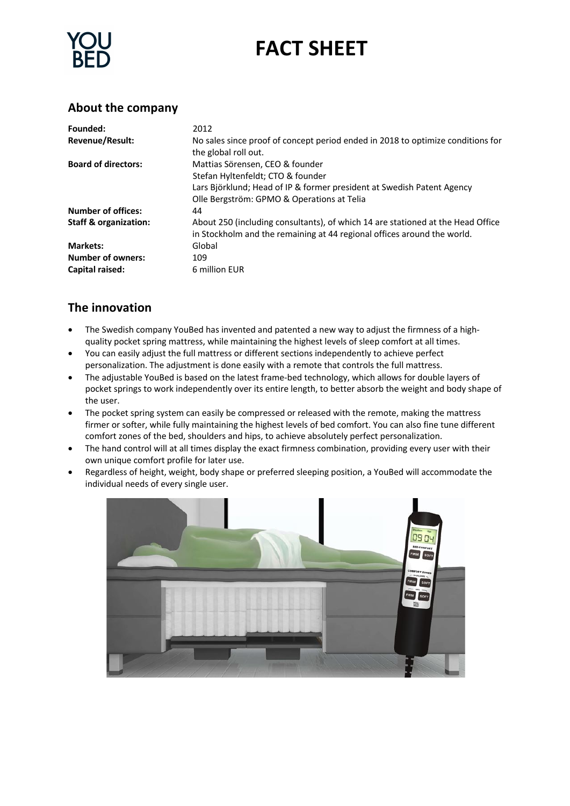# **FACT SHEET**

## **About the company**

| Founded:                         | 2012                                                                                                                                                                                         |
|----------------------------------|----------------------------------------------------------------------------------------------------------------------------------------------------------------------------------------------|
| <b>Revenue/Result:</b>           | No sales since proof of concept period ended in 2018 to optimize conditions for<br>the global roll out.                                                                                      |
| <b>Board of directors:</b>       | Mattias Sörensen, CEO & founder<br>Stefan Hyltenfeldt; CTO & founder<br>Lars Björklund; Head of IP & former president at Swedish Patent Agency<br>Olle Bergström: GPMO & Operations at Telia |
| <b>Number of offices:</b>        | 44                                                                                                                                                                                           |
| <b>Staff &amp; organization:</b> | About 250 (including consultants), of which 14 are stationed at the Head Office<br>in Stockholm and the remaining at 44 regional offices around the world.                                   |
| <b>Markets:</b>                  | Global                                                                                                                                                                                       |
| <b>Number of owners:</b>         | 109                                                                                                                                                                                          |
| Capital raised:                  | 6 million EUR                                                                                                                                                                                |

## **The innovation**

- The Swedish company YouBed has invented and patented a new way to adjust the firmness of a highquality pocket spring mattress, while maintaining the highest levels of sleep comfort at all times.
- You can easily adjust the full mattress or different sections independently to achieve perfect personalization. The adjustment is done easily with a remote that controls the full mattress.
- The adjustable YouBed is based on the latest frame-bed technology, which allows for double layers of pocket springs to work independently over its entire length, to better absorb the weight and body shape of the user.
- The pocket spring system can easily be compressed or released with the remote, making the mattress firmer or softer, while fully maintaining the highest levels of bed comfort. You can also fine tune different comfort zones of the bed, shoulders and hips, to achieve absolutely perfect personalization.
- The hand control will at all times display the exact firmness combination, providing every user with their own unique comfort profile for later use.
- Regardless of height, weight, body shape or preferred sleeping position, a YouBed will accommodate the individual needs of every single user.